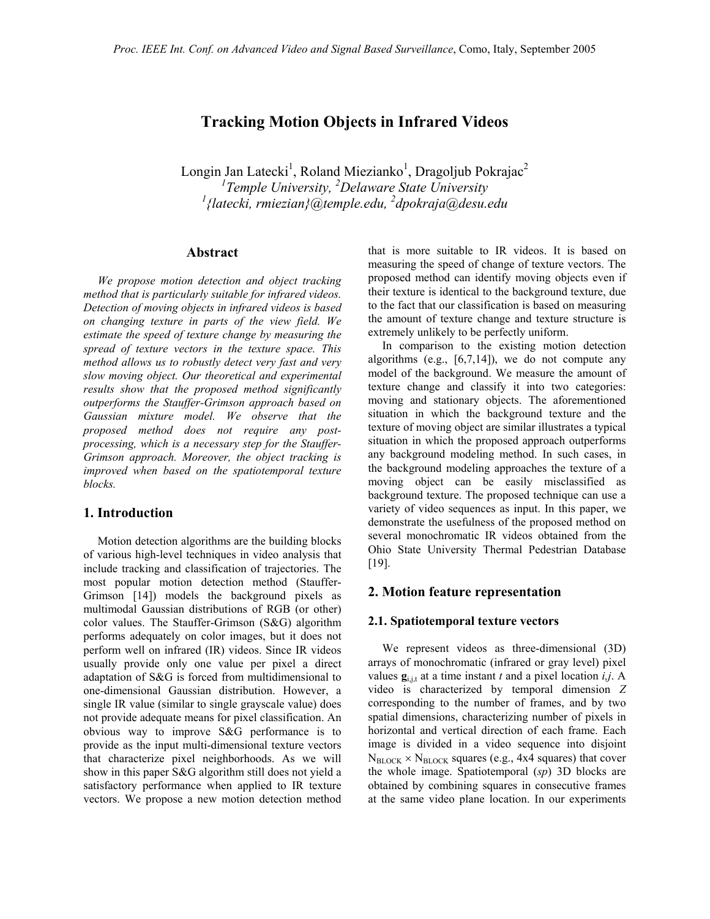# **Tracking Motion Objects in Infrared Videos**

Longin Jan Latecki<sup>1</sup>, Roland Miezianko<sup>1</sup>, Dragoljub Pokrajac<sup>2</sup> *1 Temple University, 2 Delaware State University 1 {latecki, rmiezian}@temple.edu, 2 dpokraja@desu.edu* 

### **Abstract**

*We propose motion detection and object tracking method that is particularly suitable for infrared videos. Detection of moving objects in infrared videos is based on changing texture in parts of the view field. We estimate the speed of texture change by measuring the spread of texture vectors in the texture space. This method allows us to robustly detect very fast and very slow moving object. Our theoretical and experimental results show that the proposed method significantly outperforms the Stauffer-Grimson approach based on Gaussian mixture model. We observe that the proposed method does not require any postprocessing, which is a necessary step for the Stauffer-Grimson approach. Moreover, the object tracking is improved when based on the spatiotemporal texture blocks.* 

### **1. Introduction**

Motion detection algorithms are the building blocks of various high-level techniques in video analysis that include tracking and classification of trajectories. The most popular motion detection method (Stauffer-Grimson [14]) models the background pixels as multimodal Gaussian distributions of RGB (or other) color values. The Stauffer-Grimson (S&G) algorithm performs adequately on color images, but it does not perform well on infrared (IR) videos. Since IR videos usually provide only one value per pixel a direct adaptation of S&G is forced from multidimensional to one-dimensional Gaussian distribution. However, a single IR value (similar to single grayscale value) does not provide adequate means for pixel classification. An obvious way to improve S&G performance is to provide as the input multi-dimensional texture vectors that characterize pixel neighborhoods. As we will show in this paper S&G algorithm still does not yield a satisfactory performance when applied to IR texture vectors. We propose a new motion detection method

that is more suitable to IR videos. It is based on measuring the speed of change of texture vectors. The proposed method can identify moving objects even if their texture is identical to the background texture, due to the fact that our classification is based on measuring the amount of texture change and texture structure is extremely unlikely to be perfectly uniform.

In comparison to the existing motion detection algorithms (e.g.,  $[6,7,14]$ ), we do not compute any model of the background. We measure the amount of texture change and classify it into two categories: moving and stationary objects. The aforementioned situation in which the background texture and the texture of moving object are similar illustrates a typical situation in which the proposed approach outperforms any background modeling method. In such cases, in the background modeling approaches the texture of a moving object can be easily misclassified as background texture. The proposed technique can use a variety of video sequences as input. In this paper, we demonstrate the usefulness of the proposed method on several monochromatic IR videos obtained from the Ohio State University Thermal Pedestrian Database [19].

### **2. Motion feature representation**

#### **2.1. Spatiotemporal texture vectors**

We represent videos as three-dimensional (3D) arrays of monochromatic (infrared or gray level) pixel values  $\mathbf{g}_{i,i,t}$  at a time instant *t* and a pixel location *i,j*. A video is characterized by temporal dimension *Z* corresponding to the number of frames, and by two spatial dimensions, characterizing number of pixels in horizontal and vertical direction of each frame. Each image is divided in a video sequence into disjoint  $N_{\text{BLOCK}} \times N_{\text{BLOCK}}$  squares (e.g., 4x4 squares) that cover the whole image. Spatiotemporal (*sp*) 3D blocks are obtained by combining squares in consecutive frames at the same video plane location. In our experiments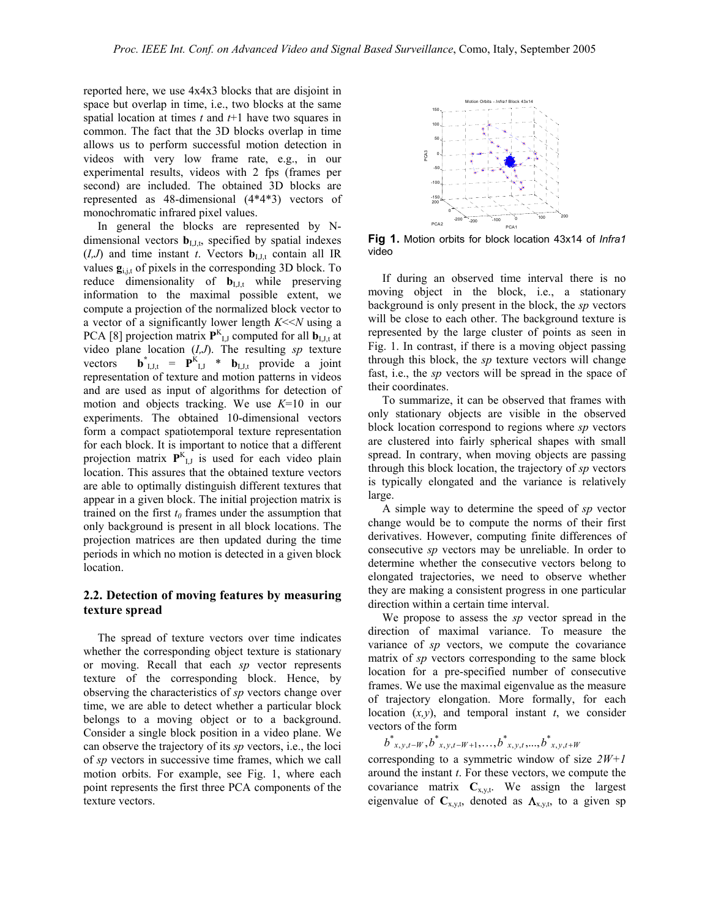reported here, we use 4x4x3 blocks that are disjoint in space but overlap in time, i.e., two blocks at the same spatial location at times *t* and *t*+1 have two squares in common. The fact that the 3D blocks overlap in time allows us to perform successful motion detection in videos with very low frame rate, e.g., in our experimental results, videos with 2 fps (frames per second) are included. The obtained 3D blocks are represented as 48-dimensional (4\*4\*3) vectors of monochromatic infrared pixel values.

In general the blocks are represented by Ndimensional vectors  $\mathbf{b}_{I,J,t}$ , specified by spatial indexes  $(I,J)$  and time instant *t*. Vectors  $\mathbf{b}_{I,J,t}$  contain all IR values  $\mathbf{g}_{i,j,t}$  of pixels in the corresponding 3D block. To reduce dimensionality of  $\mathbf{b}_{I,J,t}$  while preserving information to the maximal possible extent, we compute a projection of the normalized block vector to a vector of a significantly lower length *K*<<*N* using a PCA [8] projection matrix  $P^{K}$ <sub>I,J</sub> computed for all  $b_{I,J,t}$  at video plane location (*I,J*). The resulting *sp* texture vectors  $\mathbf{b}^*_{I,J,t} = \mathbf{P}^K_{I,J} * \mathbf{b}_{I,J,t}$  provide a joint representation of texture and motion patterns in videos and are used as input of algorithms for detection of motion and objects tracking. We use *K*=10 in our experiments. The obtained 10-dimensional vectors form a compact spatiotemporal texture representation for each block. It is important to notice that a different projection matrix  $P^{K}$ <sub>LJ</sub> is used for each video plain location. This assures that the obtained texture vectors are able to optimally distinguish different textures that appear in a given block. The initial projection matrix is trained on the first  $t_0$  frames under the assumption that only background is present in all block locations. The projection matrices are then updated during the time periods in which no motion is detected in a given block location.

# **2.2. Detection of moving features by measuring texture spread**

The spread of texture vectors over time indicates whether the corresponding object texture is stationary or moving. Recall that each *sp* vector represents texture of the corresponding block. Hence, by observing the characteristics of *sp* vectors change over time, we are able to detect whether a particular block belongs to a moving object or to a background. Consider a single block position in a video plane. We can observe the trajectory of its *sp* vectors, i.e., the loci of *sp* vectors in successive time frames, which we call motion orbits. For example, see Fig. 1, where each point represents the first three PCA components of the texture vectors.



**Fig 1.** Motion orbits for block location 43x14 of *Infra1* video

If during an observed time interval there is no moving object in the block, i.e., a stationary background is only present in the block, the *sp* vectors will be close to each other. The background texture is represented by the large cluster of points as seen in Fig. 1. In contrast, if there is a moving object passing through this block, the *sp* texture vectors will change fast, i.e., the *sp* vectors will be spread in the space of their coordinates.

To summarize, it can be observed that frames with only stationary objects are visible in the observed block location correspond to regions where *sp* vectors are clustered into fairly spherical shapes with small spread. In contrary, when moving objects are passing through this block location, the trajectory of *sp* vectors is typically elongated and the variance is relatively large.

A simple way to determine the speed of *sp* vector change would be to compute the norms of their first derivatives. However, computing finite differences of consecutive *sp* vectors may be unreliable. In order to determine whether the consecutive vectors belong to elongated trajectories, we need to observe whether they are making a consistent progress in one particular direction within a certain time interval.

We propose to assess the *sp* vector spread in the direction of maximal variance. To measure the variance of *sp* vectors, we compute the covariance matrix of *sp* vectors corresponding to the same block location for a pre-specified number of consecutive frames. We use the maximal eigenvalue as the measure of trajectory elongation. More formally, for each location  $(x, y)$ , and temporal instant  $t$ , we consider vectors of the form

 $b^*$ <sub>*x*, *y*,*t*−*W*,  $b^*$ <sub>*x*, *y*,*t*−*W* +1,...,  $b^*$ <sub>*x*, *y*,*t*,...,  $b^*$ <sub>*x*, *y*,*t*+*W*</sub></sub></sub></sub>

corresponding to a symmetric window of size *2W+1* around the instant *t*. For these vectors, we compute the covariance matrix  $C_{x,y,t}$ . We assign the largest eigenvalue of  $C_{x,y,t}$ , denoted as  $\Lambda_{x,y,t}$ , to a given sp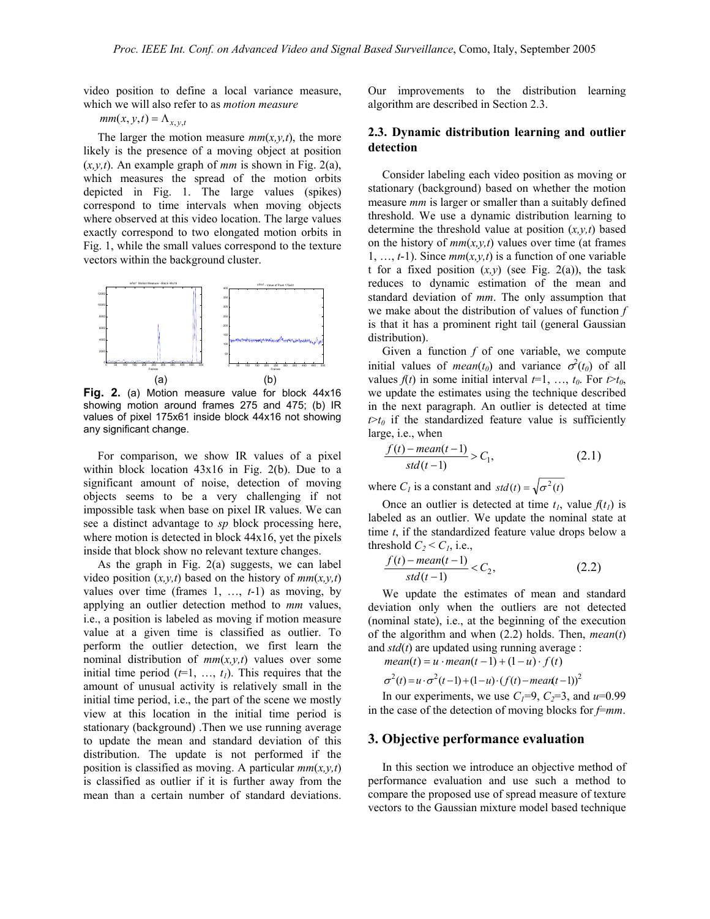video position to define a local variance measure, which we will also refer to as *motion measure*

$$
mm(x, y, t) = \Lambda_{x, y, t}
$$

The larger the motion measure *mm*(*x,y,t*), the more likely is the presence of a moving object at position  $(x, y, t)$ . An example graph of *mm* is shown in Fig. 2(a), which measures the spread of the motion orbits depicted in Fig. 1. The large values (spikes) correspond to time intervals when moving objects where observed at this video location. The large values exactly correspond to two elongated motion orbits in Fig. 1, while the small values correspond to the texture vectors within the background cluster.



**Fig. 2.** (a) Motion measure value for block 44x16 showing motion around frames 275 and 475; (b) IR values of pixel 175x61 inside block 44x16 not showing any significant change.

For comparison, we show IR values of a pixel within block location  $43x16$  in Fig. 2(b). Due to a significant amount of noise, detection of moving objects seems to be a very challenging if not impossible task when base on pixel IR values. We can see a distinct advantage to *sp* block processing here, where motion is detected in block 44x16, yet the pixels inside that block show no relevant texture changes.

As the graph in Fig. 2(a) suggests, we can label video position  $(x, y, t)$  based on the history of  $mm(x, y, t)$ values over time (frames 1, …, *t*-1) as moving, by applying an outlier detection method to *mm* values, i.e., a position is labeled as moving if motion measure value at a given time is classified as outlier. To perform the outlier detection, we first learn the nominal distribution of *mm*(*x,y,t*) values over some initial time period  $(t=1, \ldots, t_l)$ . This requires that the amount of unusual activity is relatively small in the initial time period, i.e., the part of the scene we mostly view at this location in the initial time period is stationary (background) .Then we use running average to update the mean and standard deviation of this distribution. The update is not performed if the position is classified as moving. A particular *mm*(*x,y,t*) is classified as outlier if it is further away from the mean than a certain number of standard deviations.

Our improvements to the distribution learning algorithm are described in Section 2.3.

### **2.3. Dynamic distribution learning and outlier detection**

Consider labeling each video position as moving or stationary (background) based on whether the motion measure *mm* is larger or smaller than a suitably defined threshold. We use a dynamic distribution learning to determine the threshold value at position (*x,y,t*) based on the history of  $mm(x, y, t)$  values over time (at frames 1, ...,  $t-1$ ). Since  $mm(x, y, t)$  is a function of one variable t for a fixed position  $(x, y)$  (see Fig. 2(a)), the task reduces to dynamic estimation of the mean and standard deviation of *mm*. The only assumption that we make about the distribution of values of function *f* is that it has a prominent right tail (general Gaussian distribution).

Given a function *f* of one variable, we compute initial values of *mean*( $t_0$ ) and variance  $\sigma^2(t_0)$  of all values  $f(t)$  in some initial interval  $t=1, \ldots, t_0$ . For  $t \geq t_0$ , we update the estimates using the technique described in the next paragraph. An outlier is detected at time  $t>t_0$  if the standardized feature value is sufficiently large, i.e., when

$$
\frac{f(t) - mean(t-1)}{std(t-1)} > C_1,
$$
\n
$$
(2.1)
$$

where  $C_l$  is a constant and  $std(t) = \sqrt{\sigma^2(t)}$ 

Once an outlier is detected at time  $t_1$ , value  $f(t_1)$  is labeled as an outlier. We update the nominal state at time *t*, if the standardized feature value drops below a threshold  $C_2 < C_1$ , i.e.,

$$
\frac{f(t) - mean(t-1)}{std(t-1)} < C_2,\tag{2.2}
$$

We update the estimates of mean and standard deviation only when the outliers are not detected (nominal state), i.e., at the beginning of the execution of the algorithm and when (2.2) holds. Then, *mean*(*t*) and  $std(t)$  are updated using running average :

 $mean(t) = u \cdot mean(t-1) + (1-u) \cdot f(t)$ 

$$
\sigma^{2}(t) = u \cdot \sigma^{2}(t-1) + (1-u) \cdot (f(t) - \text{mean}(t-1))^{2}
$$

In our experiments, we use  $C_1=9$ ,  $C_2=3$ , and  $u=0.99$ in the case of the detection of moving blocks for *f*=*mm*.

#### **3. Objective performance evaluation**

In this section we introduce an objective method of performance evaluation and use such a method to compare the proposed use of spread measure of texture vectors to the Gaussian mixture model based technique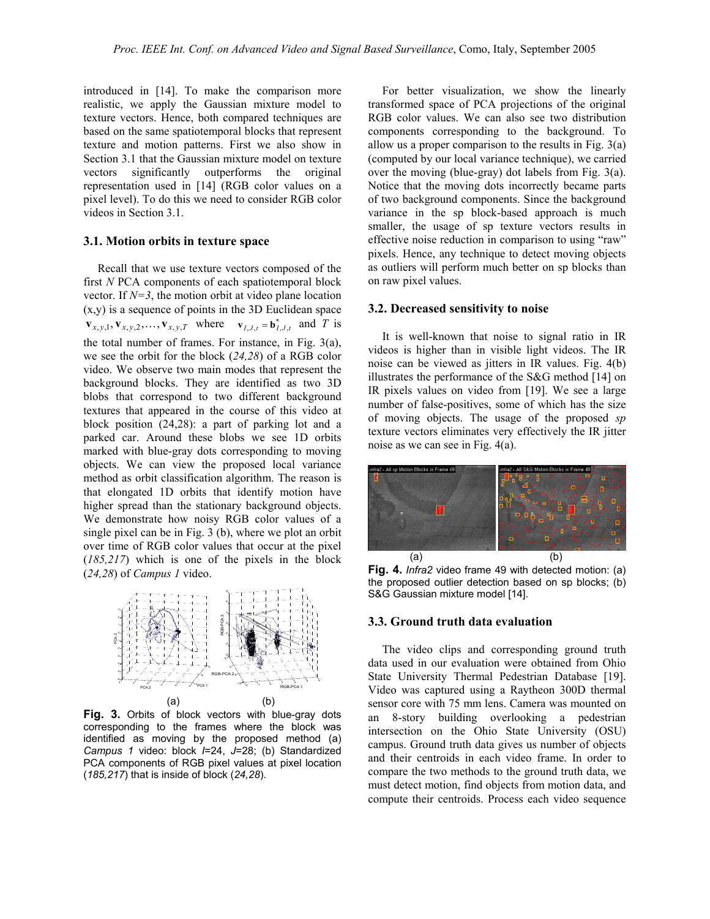introduced in [14]. To make the comparison more realistic, we apply the Gaussian mixture model to texture vectors. Hence, both compared techniques are based on the same spatiotemporal blocks that represent texture and motion patterns. First we also show in Section 3.1 that the Gaussian mixture model on texture vectors significantly outperforms the original representation used in [14] (RGB color values on a pixel level). To do this we need to consider RGB color videos in Section 3.1.

### **3.1. Motion orbits in texture space**

Recall that we use texture vectors composed of the first *N* PCA components of each spatiotemporal block vector. If  $N=3$ , the motion orbit at video plane location (x,y) is a sequence of points in the 3D Euclidean space  ${\bf v}_{x, y, 1}, {\bf v}_{x, y, 2}, \dots, {\bf v}_{x, y, T}$  where  ${\bf v}_{I, J, t} = {\bf b}_{I, J, t}^{*}$  and *T* is the total number of frames. For instance, in Fig. 3(a), we see the orbit for the block (*24,28*) of a RGB color video. We observe two main modes that represent the background blocks. They are identified as two 3D blobs that correspond to two different background textures that appeared in the course of this video at block position (24,28): a part of parking lot and a parked car. Around these blobs we see 1D orbits marked with blue-gray dots corresponding to moving objects. We can view the proposed local variance method as orbit classification algorithm. The reason is that elongated 1D orbits that identify motion have higher spread than the stationary background objects. We demonstrate how noisy RGB color values of a single pixel can be in Fig. 3 (b), where we plot an orbit over time of RGB color values that occur at the pixel (*185,217*) which is one of the pixels in the block (*24,28*) of *Campus 1* video.



**Fig. 3.** Orbits of block vectors with blue-gray dots corresponding to the frames where the block was identified as moving by the proposed method (a) *Campus 1* video: block *I*=24, *J*=28; (b) Standardized PCA components of RGB pixel values at pixel location (*185,217*) that is inside of block (*24,28*).

For better visualization, we show the linearly transformed space of PCA projections of the original RGB color values. We can also see two distribution components corresponding to the background. To allow us a proper comparison to the results in Fig. 3(a) (computed by our local variance technique), we carried over the moving (blue-gray) dot labels from Fig. 3(a). Notice that the moving dots incorrectly became parts of two background components. Since the background variance in the sp block-based approach is much smaller, the usage of sp texture vectors results in effective noise reduction in comparison to using "raw" pixels. Hence, any technique to detect moving objects as outliers will perform much better on sp blocks than on raw pixel values.

#### **3.2. Decreased sensitivity to noise**

It is well-known that noise to signal ratio in IR videos is higher than in visible light videos. The IR noise can be viewed as jitters in IR values. Fig. 4(b) illustrates the performance of the S&G method [14] on IR pixels values on video from [19]. We see a large number of false-positives, some of which has the size of moving objects. The usage of the proposed *sp* texture vectors eliminates very effectively the IR jitter noise as we can see in Fig. 4(a).



**Fig. 4.** *Infra2* video frame 49 with detected motion: (a) the proposed outlier detection based on sp blocks; (b) S&G Gaussian mixture model [14].

#### **3.3. Ground truth data evaluation**

The video clips and corresponding ground truth data used in our evaluation were obtained from Ohio State University Thermal Pedestrian Database [19]. Video was captured using a Raytheon 300D thermal sensor core with 75 mm lens. Camera was mounted on an 8-story building overlooking a pedestrian intersection on the Ohio State University (OSU) campus. Ground truth data gives us number of objects and their centroids in each video frame. In order to compare the two methods to the ground truth data, we must detect motion, find objects from motion data, and compute their centroids. Process each video sequence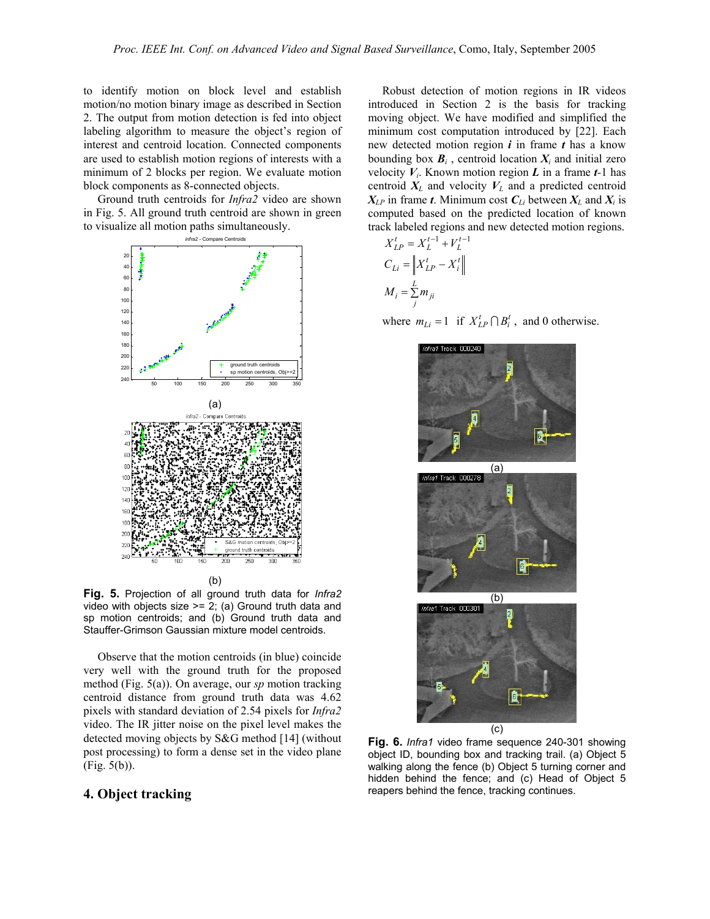to identify motion on block level and establish motion/no motion binary image as described in Section 2. The output from motion detection is fed into object labeling algorithm to measure the object's region of interest and centroid location. Connected components are used to establish motion regions of interests with a minimum of 2 blocks per region. We evaluate motion block components as 8-connected objects.

Ground truth centroids for *Infra2* video are shown in Fig. 5. All ground truth centroid are shown in green to visualize all motion paths simultaneously.



(b)

**Fig. 5.** Projection of all ground truth data for *Infra2* video with objects size  $>= 2$ ; (a) Ground truth data and sp motion centroids; and (b) Ground truth data and Stauffer-Grimson Gaussian mixture model centroids.

Observe that the motion centroids (in blue) coincide very well with the ground truth for the proposed method (Fig. 5(a)). On average, our *sp* motion tracking centroid distance from ground truth data was 4.62 pixels with standard deviation of 2.54 pixels for *Infra2* video. The IR jitter noise on the pixel level makes the detected moving objects by S&G method [14] (without post processing) to form a dense set in the video plane (Fig. 5(b)).

# **4. Object tracking**

Robust detection of motion regions in IR videos introduced in Section 2 is the basis for tracking moving object. We have modified and simplified the minimum cost computation introduced by [22]. Each new detected motion region *i* in frame *t* has a know bounding box  $\mathbf{B}_i$ , centroid location  $X_i$  and initial zero velocity  $V_i$ . Known motion region  $L$  in a frame  $t$ <sup>-1</sup> has centroid  $X_L$  and velocity  $V_L$  and a predicted centroid  $X_{LP}$  in frame *t*. Minimum cost  $C_{Li}$  between  $X_L$  and  $X_i$  is computed based on the predicted location of known track labeled regions and new detected motion regions.

$$
X_{LP}^t = X_L^{t-1} + V_L^{t-1}
$$

$$
C_{Li} = \left\| X_{LP}^t - X_i^t \right\|
$$

$$
M_i = \sum_j m_{ji}
$$

where  $m_{Li} = 1$  if  $X_{LP}^t \cap B_i^t$ , and 0 otherwise.



**Fig. 6.** *Infra1* video frame sequence 240-301 showing object ID, bounding box and tracking trail. (a) Object 5 walking along the fence (b) Object 5 turning corner and hidden behind the fence; and (c) Head of Object 5 reapers behind the fence, tracking continues.